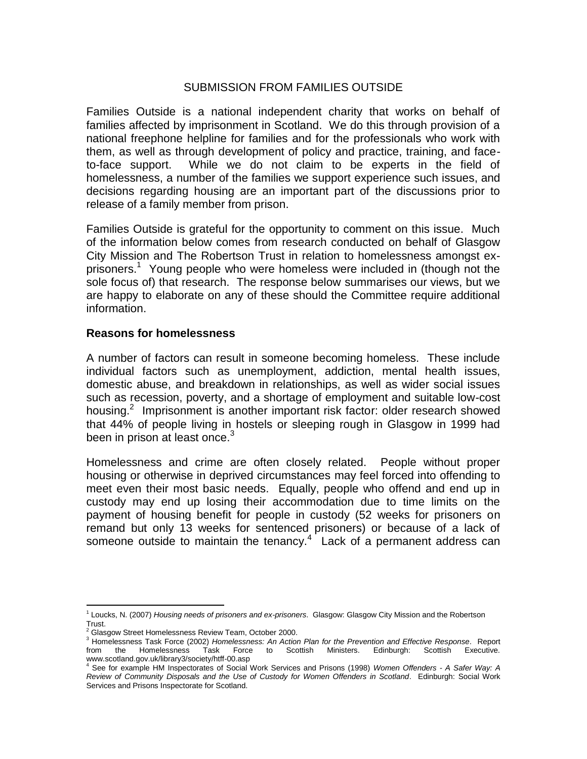## SUBMISSION FROM FAMILIES OUTSIDE

Families Outside is a national independent charity that works on behalf of families affected by imprisonment in Scotland. We do this through provision of a national freephone helpline for families and for the professionals who work with them, as well as through development of policy and practice, training, and faceto-face support. While we do not claim to be experts in the field of homelessness, a number of the families we support experience such issues, and decisions regarding housing are an important part of the discussions prior to release of a family member from prison.

Families Outside is grateful for the opportunity to comment on this issue. Much of the information below comes from research conducted on behalf of Glasgow City Mission and The Robertson Trust in relation to homelessness amongst exprisoners.<sup>1</sup> Young people who were homeless were included in (though not the sole focus of) that research. The response below summarises our views, but we are happy to elaborate on any of these should the Committee require additional information.

## **Reasons for homelessness**

A number of factors can result in someone becoming homeless. These include individual factors such as unemployment, addiction, mental health issues, domestic abuse, and breakdown in relationships, as well as wider social issues such as recession, poverty, and a shortage of employment and suitable low-cost housing.<sup>2</sup> Imprisonment is another important risk factor: older research showed that 44% of people living in hostels or sleeping rough in Glasgow in 1999 had been in prison at least once. $3$ 

Homelessness and crime are often closely related. People without proper housing or otherwise in deprived circumstances may feel forced into offending to meet even their most basic needs. Equally, people who offend and end up in custody may end up losing their accommodation due to time limits on the payment of housing benefit for people in custody (52 weeks for prisoners on remand but only 13 weeks for sentenced prisoners) or because of a lack of someone outside to maintain the tenancy. $4$  Lack of a permanent address can

 $\overline{a}$ 1 Loucks, N. (2007) *Housing needs of prisoners and ex-prisoners*. Glasgow: Glasgow City Mission and the Robertson

Trust.<br><sup>2</sup> Glasgow Street Homelessness Review Team, October 2000.

<sup>3</sup> Homelessness Task Force (2002) *Homelessness: An Action Plan for the Prevention and Effective Response*. Report from the Homelessness Task Force to Scottish Ministers. Edinburgh: Scottish Executive. www.scotland.gov.uk/library3/society/htff-00.asp<br><sup>4</sup> See for overgla life is

<sup>4</sup> See for example HM Inspectorates of Social Work Services and Prisons (1998) *Women Offenders - A Safer Way: A Review of Community Disposals and the Use of Custody for Women Offenders in Scotland*. Edinburgh: Social Work Services and Prisons Inspectorate for Scotland.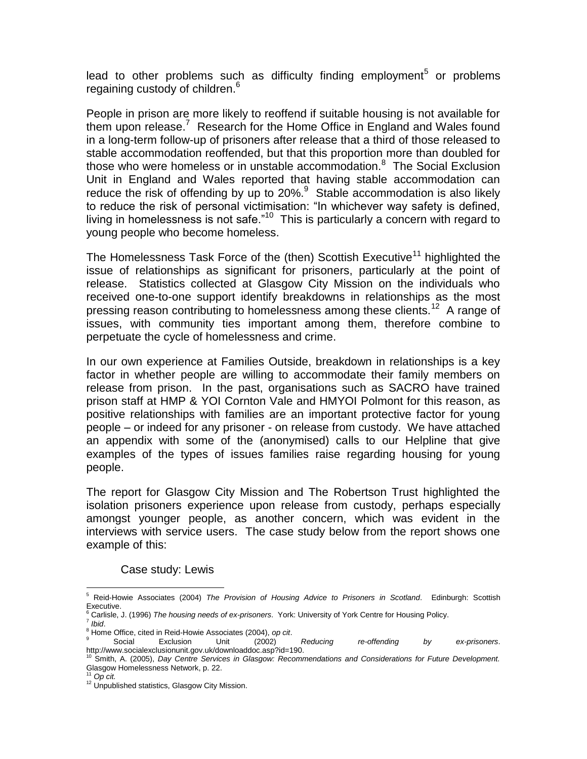lead to other problems such as difficulty finding employment<sup>5</sup> or problems regaining custody of children.<sup>6</sup>

People in prison are more likely to reoffend if suitable housing is not available for them upon release.<sup>7</sup> Research for the Home Office in England and Wales found in a long-term follow-up of prisoners after release that a third of those released to stable accommodation reoffended, but that this proportion more than doubled for those who were homeless or in unstable accommodation.<sup>8</sup> The Social Exclusion Unit in England and Wales reported that having stable accommodation can reduce the risk of offending by up to  $20\%$ <sup>9</sup> Stable accommodation is also likely to reduce the risk of personal victimisation: "In whichever way safety is defined, living in homelessness is not safe." $10$  This is particularly a concern with regard to young people who become homeless.

The Homelessness Task Force of the (then) Scottish Executive<sup>11</sup> highlighted the issue of relationships as significant for prisoners, particularly at the point of release. Statistics collected at Glasgow City Mission on the individuals who received one-to-one support identify breakdowns in relationships as the most pressing reason contributing to homelessness among these clients.<sup>12</sup> A range of issues, with community ties important among them, therefore combine to perpetuate the cycle of homelessness and crime.

In our own experience at Families Outside, breakdown in relationships is a key factor in whether people are willing to accommodate their family members on release from prison. In the past, organisations such as SACRO have trained prison staff at HMP & YOI Cornton Vale and HMYOI Polmont for this reason, as positive relationships with families are an important protective factor for young people – or indeed for any prisoner - on release from custody. We have attached an appendix with some of the (anonymised) calls to our Helpline that give examples of the types of issues families raise regarding housing for young people.

The report for Glasgow City Mission and The Robertson Trust highlighted the isolation prisoners experience upon release from custody, perhaps especially amongst younger people, as another concern, which was evident in the interviews with service users. The case study below from the report shows one example of this:

Case study: Lewis

 $\overline{a}$ <sup>5</sup> Reid-Howie Associates (2004) *The Provision of Housing Advice to Prisoners in Scotland*. Edinburgh: Scottish Executive.

<sup>6</sup> Carlisle, J. (1996) *The housing needs of ex-prisoners*. York: University of York Centre for Housing Policy.

<sup>7</sup> *Ibid*.

<sup>8</sup> Home Office, cited in Reid-Howie Associates (2004), *op cit*.

<sup>9</sup> Social Exclusion Unit (2002) *Reducing re-offending by ex-prisoners*. http://www.socialexclusionunit.gov.uk/downloaddoc.asp?id=190.

<sup>10</sup> Smith, A. (2005), *Day Centre Services in Glasgow: Recommendations and Considerations for Future Development.*  Glasgow Homelessness Network, p. 22.

 $11$  Op cit.

<sup>&</sup>lt;sup>12</sup> Unpublished statistics, Glasgow City Mission.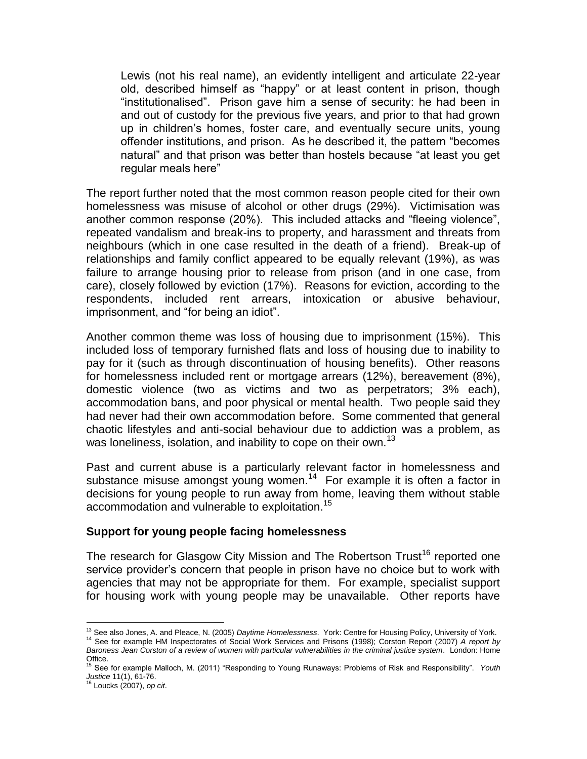Lewis (not his real name), an evidently intelligent and articulate 22-year old, described himself as "happy" or at least content in prison, though "institutionalised". Prison gave him a sense of security: he had been in and out of custody for the previous five years, and prior to that had grown up in children"s homes, foster care, and eventually secure units, young offender institutions, and prison. As he described it, the pattern "becomes natural" and that prison was better than hostels because "at least you get regular meals here"

The report further noted that the most common reason people cited for their own homelessness was misuse of alcohol or other drugs (29%). Victimisation was another common response (20%). This included attacks and "fleeing violence", repeated vandalism and break-ins to property, and harassment and threats from neighbours (which in one case resulted in the death of a friend). Break-up of relationships and family conflict appeared to be equally relevant (19%), as was failure to arrange housing prior to release from prison (and in one case, from care), closely followed by eviction (17%). Reasons for eviction, according to the respondents, included rent arrears, intoxication or abusive behaviour, imprisonment, and "for being an idiot".

Another common theme was loss of housing due to imprisonment (15%). This included loss of temporary furnished flats and loss of housing due to inability to pay for it (such as through discontinuation of housing benefits). Other reasons for homelessness included rent or mortgage arrears (12%), bereavement (8%), domestic violence (two as victims and two as perpetrators; 3% each), accommodation bans, and poor physical or mental health. Two people said they had never had their own accommodation before. Some commented that general chaotic lifestyles and anti-social behaviour due to addiction was a problem, as was loneliness, isolation, and inability to cope on their own.<sup>13</sup>

Past and current abuse is a particularly relevant factor in homelessness and substance misuse amongst young women.<sup>14</sup> For example it is often a factor in decisions for young people to run away from home, leaving them without stable accommodation and vulnerable to exploitation.<sup>15</sup>

## **Support for young people facing homelessness**

The research for Glasgow City Mission and The Robertson Trust<sup>16</sup> reported one service provider's concern that people in prison have no choice but to work with agencies that may not be appropriate for them. For example, specialist support for housing work with young people may be unavailable. Other reports have

 $\overline{a}$ <sup>13</sup> See also Jones, A. and Pleace, N. (2005) *Daytime Homelessness*. York: Centre for Housing Policy, University of York. <sup>14</sup> See for example HM Inspectorates of Social Work Services and Prisons (1998); Corston Report (2007) *A report by* 

*Baroness Jean Corston of a review of women with particular vulnerabilities in the criminal justice system*. London: Home Office. <sup>15</sup> See for example Malloch, M. (2011) "Responding to Young Runaways: Problems of Risk and Responsibility". *Youth* 

*Justice* 11(1), 61-76. <sup>16</sup> Loucks (2007), *op cit*.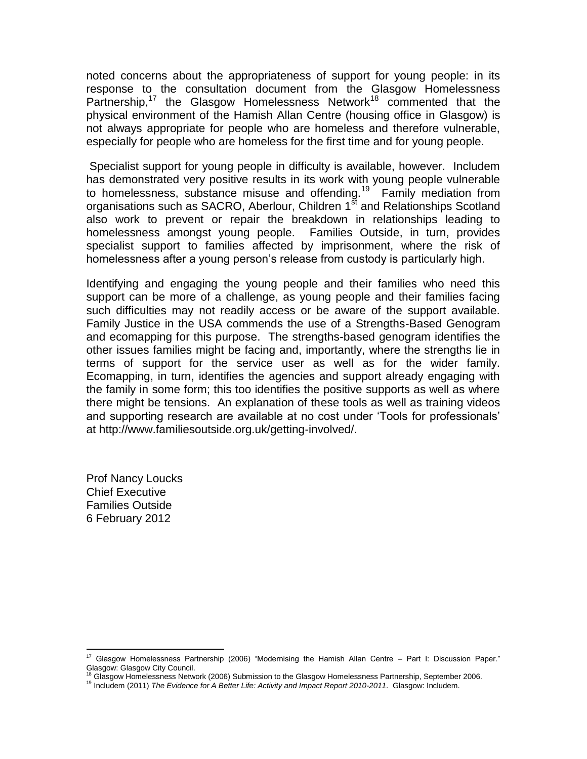noted concerns about the appropriateness of support for young people: in its response to the consultation document from the Glasgow Homelessness Partnership,<sup>17</sup> the Glasgow Homelessness Network<sup>18</sup> commented that the physical environment of the Hamish Allan Centre (housing office in Glasgow) is not always appropriate for people who are homeless and therefore vulnerable, especially for people who are homeless for the first time and for young people.

Specialist support for young people in difficulty is available, however. Includem has demonstrated very positive results in its work with young people vulnerable to homelessness, substance misuse and offending.<sup>19</sup> Family mediation from organisations such as SACRO, Aberlour, Children 1<sup>st</sup> and Relationships Scotland also work to prevent or repair the breakdown in relationships leading to homelessness amongst young people. Families Outside, in turn, provides specialist support to families affected by imprisonment, where the risk of homelessness after a young person"s release from custody is particularly high.

Identifying and engaging the young people and their families who need this support can be more of a challenge, as young people and their families facing such difficulties may not readily access or be aware of the support available. Family Justice in the USA commends the use of a Strengths-Based Genogram and ecomapping for this purpose. The strengths-based genogram identifies the other issues families might be facing and, importantly, where the strengths lie in terms of support for the service user as well as for the wider family. Ecomapping, in turn, identifies the agencies and support already engaging with the family in some form; this too identifies the positive supports as well as where there might be tensions. An explanation of these tools as well as training videos and supporting research are available at no cost under "Tools for professionals" at http://www.familiesoutside.org.uk/getting-involved/.

Prof Nancy Loucks Chief Executive Families Outside 6 February 2012

 $\overline{a}$ 

<sup>&</sup>lt;sup>17</sup> Glasgow Homelessness Partnership (2006) "Modernising the Hamish Allan Centre – Part I: Discussion Paper." Glasgow: Glasgow City Council.

<sup>&</sup>lt;sup>18</sup> Glasgow Homelessness Network (2006) Submission to the Glasgow Homelessness Partnership, September 2006.

<sup>19</sup> Includem (2011) *The Evidence for A Better Life: Activity and Impact Report 2010-2011*. Glasgow: Includem.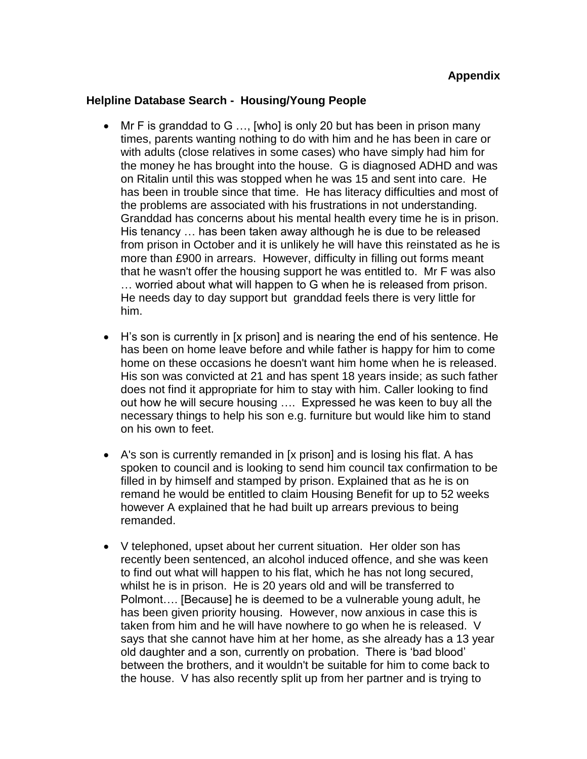## **Helpline Database Search - Housing/Young People**

- $\bullet$  Mr F is granddad to G ..., [who] is only 20 but has been in prison many times, parents wanting nothing to do with him and he has been in care or with adults (close relatives in some cases) who have simply had him for the money he has brought into the house. G is diagnosed ADHD and was on Ritalin until this was stopped when he was 15 and sent into care. He has been in trouble since that time. He has literacy difficulties and most of the problems are associated with his frustrations in not understanding. Granddad has concerns about his mental health every time he is in prison. His tenancy … has been taken away although he is due to be released from prison in October and it is unlikely he will have this reinstated as he is more than £900 in arrears. However, difficulty in filling out forms meant that he wasn't offer the housing support he was entitled to. Mr F was also … worried about what will happen to G when he is released from prison. He needs day to day support but granddad feels there is very little for him.
- H"s son is currently in [x prison] and is nearing the end of his sentence. He has been on home leave before and while father is happy for him to come home on these occasions he doesn't want him home when he is released. His son was convicted at 21 and has spent 18 years inside; as such father does not find it appropriate for him to stay with him. Caller looking to find out how he will secure housing …. Expressed he was keen to buy all the necessary things to help his son e.g. furniture but would like him to stand on his own to feet.
- A's son is currently remanded in [x prison] and is losing his flat. A has spoken to council and is looking to send him council tax confirmation to be filled in by himself and stamped by prison. Explained that as he is on remand he would be entitled to claim Housing Benefit for up to 52 weeks however A explained that he had built up arrears previous to being remanded.
- V telephoned, upset about her current situation. Her older son has recently been sentenced, an alcohol induced offence, and she was keen to find out what will happen to his flat, which he has not long secured, whilst he is in prison. He is 20 years old and will be transferred to Polmont…. [Because] he is deemed to be a vulnerable young adult, he has been given priority housing. However, now anxious in case this is taken from him and he will have nowhere to go when he is released. V says that she cannot have him at her home, as she already has a 13 year old daughter and a son, currently on probation. There is "bad blood" between the brothers, and it wouldn't be suitable for him to come back to the house. V has also recently split up from her partner and is trying to